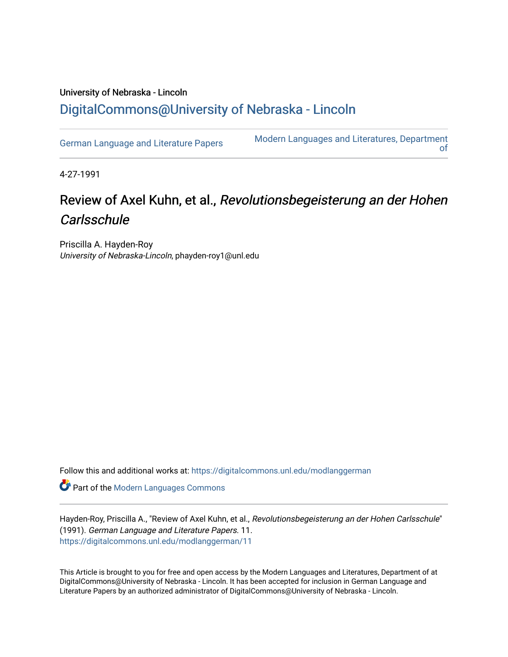## University of Nebraska - Lincoln [DigitalCommons@University of Nebraska - Lincoln](https://digitalcommons.unl.edu/)

[German Language and Literature Papers](https://digitalcommons.unl.edu/modlanggerman) Modern Languages and Literatures, Department [of](https://digitalcommons.unl.edu/modernlanguages) 

4-27-1991

## Review of Axel Kuhn, et al., Revolutionsbegeisterung an der Hohen **Carlsschule**

Priscilla A. Hayden-Roy University of Nebraska-Lincoln, phayden-roy1@unl.edu

Follow this and additional works at: [https://digitalcommons.unl.edu/modlanggerman](https://digitalcommons.unl.edu/modlanggerman?utm_source=digitalcommons.unl.edu%2Fmodlanggerman%2F11&utm_medium=PDF&utm_campaign=PDFCoverPages) 

Part of the [Modern Languages Commons](http://network.bepress.com/hgg/discipline/1130?utm_source=digitalcommons.unl.edu%2Fmodlanggerman%2F11&utm_medium=PDF&utm_campaign=PDFCoverPages) 

Hayden-Roy, Priscilla A., "Review of Axel Kuhn, et al., Revolutionsbegeisterung an der Hohen Carlsschule" (1991). German Language and Literature Papers. 11. [https://digitalcommons.unl.edu/modlanggerman/11](https://digitalcommons.unl.edu/modlanggerman/11?utm_source=digitalcommons.unl.edu%2Fmodlanggerman%2F11&utm_medium=PDF&utm_campaign=PDFCoverPages)

This Article is brought to you for free and open access by the Modern Languages and Literatures, Department of at DigitalCommons@University of Nebraska - Lincoln. It has been accepted for inclusion in German Language and Literature Papers by an authorized administrator of DigitalCommons@University of Nebraska - Lincoln.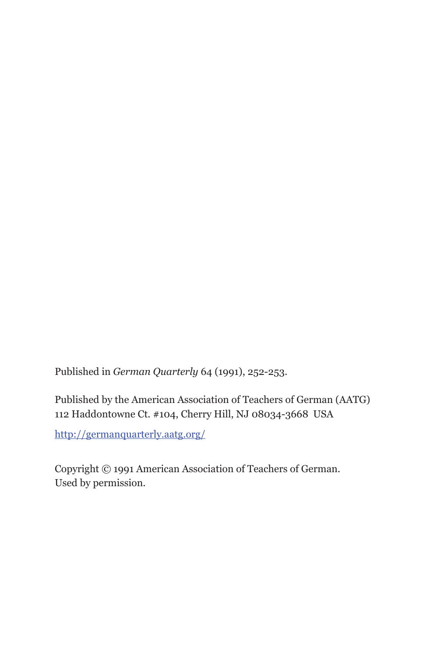Published in *German Quarterly* 64 (1991), 252-253.

Published by the American Association of Teachers of German (AATG) 112 Haddontowne Ct. #104, Cherry Hill, NJ 08034-3668 USA

http://germanquarterly.aatg.org/

Copyright © 1991 American Association of Teachers of German. Used by permission.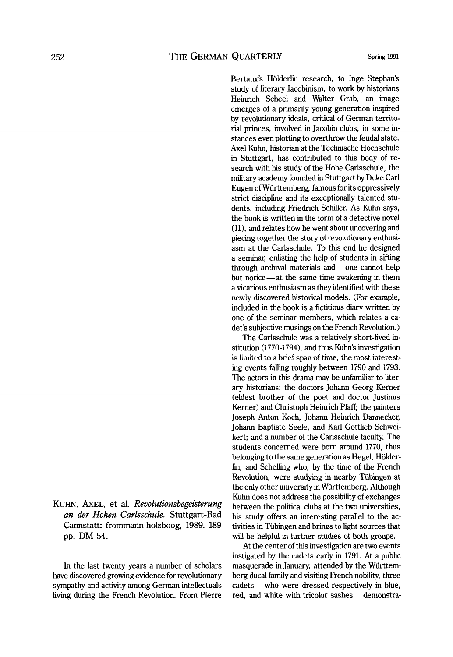Bertaux's Hölderlin research, to Inge Stephan's study of literary Jacobinism, to work by historians Heinrich Scheel and Walter Grab, an image emerges of a primarily young generation inspired by revolutionary ideals, critical of German territorial princes, involved in Jacobin clubs, in some instances even plotting to overthrow the feudal state. Axel Kuhn, historian at the Technische Hochschule in Stuttgart, has contributed to this body of research with his study of the Hohe Carlsschule, the military academy founded in Stuttgart by Duke Carl Eugen of Wiirttemberg, famous for its oppressively strict discipline and its exceptionally talented students, including Friedrich Schiller. As Kuhn says, the book is written in the form of a detective novel (ll), and relates how he went about uncovering and piecing together the story of revolutionary enthusiasm at the Carlsschule. To this end he designed a seminar, enlisting the help of students in sifting through archival materials and-one cannot help but notice-at the same time awakening in them a vicarious enthusiasm as they identified with these newly discovered historical models. (For example, included in the book is a fictitious diary written by one of the seminar members, which relates a cadet's subjective musings on the French Revolution.)

The Carlsschule was a relatively short-lived institution (1770-1794), and thus Kuhn's investigation is limited to a brief span of time, the most interesting events falling roughly between 1790 and 1793. The actors in this drama may be unfamiliar to literary historians: the doctors Johann Georg Kerner (eldest brother of the poet and doctor Justinus Kerner) and Christoph Heinrich Pfaff; the painters Joseph Anton Koch, Johann Heinrich Dannecker, Johann Baptiste Seele, and Karl Gottlieb Schweikert; and a number of the Carlsschule faculty. The students concerned were born around 1770, thus belonging to the same generation as Hegel, Holderlin, and Schelling who, by the time of the French Revolution, were studying in nearby Tübingen at the only other university in Wurttemberg. Although Kuhn does not address the possibility of exchanges between the political clubs at the two universities, his study offers an interesting parallel to the activities in Tübingen and brings to light sources that will be helpful in further studies of both groups.

At the center of this investigation are two events instigated by the cadets early in 1791. At a public masquerade in January, attended by the Wiirttemberg ducal family and visiting French nobility, three cadets-who were dressed respectively in blue, red, and white with tricolor sashes-demonstra-

KUHN, AXEL, et al. *Revolutionsbegeisterung an der Hohen Carlsschule.* Stuttgart-Bad Cannstatt: frornrnann-holzboog, **1989. 189**  pp. **DM 54.** 

In the last twenty years a number of scholars have discovered growing evidence for revolutionary sympathy and activity among German intellectuals living during the French Revolution. From Pierre